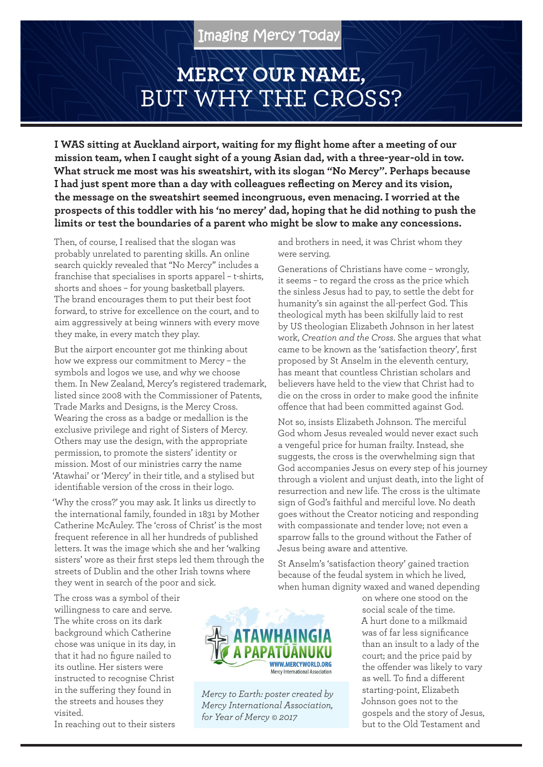## **MERCY OUR NAME,**  BUT WHY THE CROSS?

**I WAS sitting at Auckland airport, waiting for my flight home after a meeting of our mission team, when I caught sight of a young Asian dad, with a three-year-old in tow. What struck me most was his sweatshirt, with its slogan "No Mercy". Perhaps because I had just spent more than a day with colleagues reflecting on Mercy and its vision, the message on the sweatshirt seemed incongruous, even menacing. I worried at the prospects of this toddler with his 'no mercy' dad, hoping that he did nothing to push the limits or test the boundaries of a parent who might be slow to make any concessions.**

Then, of course, I realised that the slogan was probably unrelated to parenting skills. An online search quickly revealed that "No Mercy" includes a franchise that specialises in sports apparel – t-shirts, shorts and shoes – for young basketball players. The brand encourages them to put their best foot forward, to strive for excellence on the court, and to aim aggressively at being winners with every move they make, in every match they play.

But the airport encounter got me thinking about how we express our commitment to Mercy – the symbols and logos we use, and why we choose them. In New Zealand, Mercy's registered trademark, listed since 2008 with the Commissioner of Patents, Trade Marks and Designs, is the Mercy Cross. Wearing the cross as a badge or medallion is the exclusive privilege and right of Sisters of Mercy. Others may use the design, with the appropriate permission, to promote the sisters' identity or mission. Most of our ministries carry the name 'Atawhai' or 'Mercy' in their title, and a stylised but identifiable version of the cross in their logo.

'Why the cross?' you may ask. It links us directly to the international family, founded in 1831 by Mother Catherine McAuley. The 'cross of Christ' is the most frequent reference in all her hundreds of published letters. It was the image which she and her 'walking sisters' wore as their first steps led them through the streets of Dublin and the other Irish towns where they went in search of the poor and sick.

The cross was a symbol of their willingness to care and serve. The white cross on its dark background which Catherine chose was unique in its day, in that it had no figure nailed to its outline. Her sisters were instructed to recognise Christ in the suffering they found in the streets and houses they visited.

In reaching out to their sisters

**WWW.MERCYWORLD.ORG** Mercy International Association

*Mercy to Earth: poster created by Mercy International Association, for Year of Mercy © 2017*

and brothers in need, it was Christ whom they were serving.

Generations of Christians have come – wrongly, it seems – to regard the cross as the price which the sinless Jesus had to pay, to settle the debt for humanity's sin against the all-perfect God. This theological myth has been skilfully laid to rest by US theologian Elizabeth Johnson in her latest work, *Creation and the Cross*. She argues that what came to be known as the 'satisfaction theory', first proposed by St Anselm in the eleventh century, has meant that countless Christian scholars and believers have held to the view that Christ had to die on the cross in order to make good the infinite offence that had been committed against God.

Not so, insists Elizabeth Johnson. The merciful God whom Jesus revealed would never exact such a vengeful price for human frailty. Instead, she suggests, the cross is the overwhelming sign that God accompanies Jesus on every step of his journey through a violent and unjust death, into the light of resurrection and new life. The cross is the ultimate sign of God's faithful and merciful love. No death goes without the Creator noticing and responding with compassionate and tender love; not even a sparrow falls to the ground without the Father of Jesus being aware and attentive.

St Anselm's 'satisfaction theory' gained traction because of the feudal system in which he lived, when human dignity waxed and waned depending

> on where one stood on the social scale of the time. A hurt done to a milkmaid was of far less significance than an insult to a lady of the court; and the price paid by the offender was likely to vary as well. To find a different starting-point, Elizabeth Johnson goes not to the gospels and the story of Jesus, but to the Old Testament and